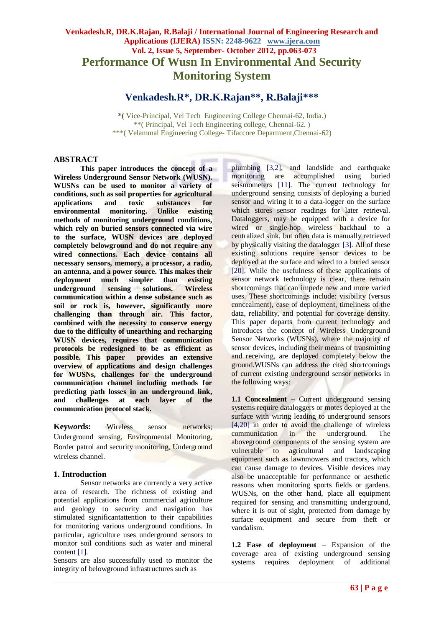# **Venkadesh.R, DR.K.Rajan, R.Balaji / International Journal of Engineering Research and Applications (IJERA) ISSN: 2248-9622 www.ijera.com Vol. 2, Issue 5, September- October 2012, pp.063-073 Performance Of Wusn In Environmental And Security Monitoring System**

**Venkadesh.R\*, DR.K.Rajan\*\*, R.Balaji\*\*\***

**\*(** Vice-Principal, Vel Tech Engineering College Chennai-62, India.) \*\*( Principal, Vel Tech Engineering college, Chennai-62. ) \*\*\*( Velammal Engineering College- Tifaccore Department,Chennai-62)

### **ABSTRACT**

**This paper introduces the concept of a Wireless Underground Sensor Network (WUSN). WUSNs can be used to monitor a variety of conditions, such as soil properties for agricultural applications and toxic substances for environmental monitoring. Unlike existing methods of monitoring underground conditions, which rely on buried sensors connected via wire to the surface, WUSN devices are deployed completely belowground and do not require any wired connections. Each device contains all necessary sensors, memory, a processor, a radio, an antenna, and a power source. This makes their deployment much simpler than existing underground sensing solutions. Wireless communication within a dense substance such as soil or rock is, however, significantly more challenging than through air. This factor, combined with the necessity to conserve energy due to the difficulty of unearthing and recharging WUSN devices, requires that communication protocols be redesigned to be as efficient as provides** an extensive **overview of applications and design challenges for WUSNs, challenges for the underground communication channel including methods for predicting path losses in an underground link, and challenges at each layer of the communication protocol stack.**

**Key***wor***ds:** Wireless sensor networks; Underground sensing, Environmental Monitoring, Border patrol and security monitoring, Underground wireless channel.

### **1. Introduction**

Sensor networks are currently a very active area of research. The richness of existing and potential applications from commercial agriculture and geology to security and navigation has stimulated significantattention to their capabilities for monitoring various underground conditions. In particular, agriculture uses underground sensors to monitor soil conditions such as water and mineral content [1].

Sensors are also successfully used to monitor the integrity of belowground infrastructures such as

plumbing [3,2], and landslide and earthquake monitoring are accomplished using buried seismometers [11]. The current technology for underground sensing consists of deploying a buried sensor and wiring it to a data-logger on the surface which stores sensor readings for later retrieval. Dataloggers, may be equipped with a device for wired or single-hop wireless backhaul to a centralized sink, but often data is manually retrieved by physically visiting the datalogger [3]. All of these existing solutions require sensor devices to be deployed at the surface and wired to a buried sensor [20]. While the usefulness of these applications of sensor network technology is clear, there remain shortcomings that can impede new and more varied uses. These shortcomings include: visibility (versus concealment), ease of deployment, timeliness of the data, reliability, and potential for coverage density. This paper departs from current technology and introduces the concept of Wireless Underground Sensor Networks (WUSNs), where the majority of sensor devices, including their means of transmitting and receiving, are deployed completely below the ground.WUSNs can address the cited shortcomings of current existing underground sensor networks in the following ways:

**1.1 Concealment** – Current underground sensing systems require dataloggers or motes deployed at the surface with wiring leading to underground sensors [4,20] in order to avoid the challenge of wireless communication in the underground. The aboveground components of the sensing system are vulnerable to agricultural and landscaping equipment such as lawnmowers and tractors, which can cause damage to devices. Visible devices may also be unacceptable for performance or aesthetic reasons when monitoring sports fields or gardens. WUSNs, on the other hand, place all equipment required for sensing and transmitting underground, where it is out of sight, protected from damage by surface equipment and secure from theft or vandalism.

**1.2 Ease of deployment** – Expansion of the coverage area of existing underground sensing systems requires deployment of additional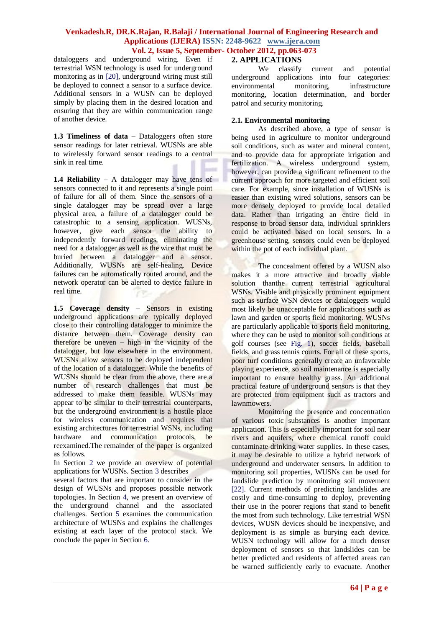dataloggers and underground wiring. Even if terrestrial WSN technology is used for underground monitoring as in [20], underground wiring must still be deployed to connect a sensor to a surface device. Additional sensors in a WUSN can be deployed simply by placing them in the desired location and ensuring that they are within communication range of another device.

**1.3 Timeliness of data** – Dataloggers often store sensor readings for later retrieval. WUSNs are able to wirelessly forward sensor readings to a central sink in real time.

**1.4 Reliability** – A datalogger may have tens of sensors connected to it and represents a single point of failure for all of them. Since the sensors of a single datalogger may be spread over a large physical area, a failure of a datalogger could be catastrophic to a sensing application. WUSNs, however, give each sensor the ability to independently forward readings, eliminating the need for a datalogger as well as the wire that must be buried between a datalogger and a sensor. Additionally, WUSNs are self-healing. Device failures can be automatically routed around, and the network operator can be alerted to device failure in real time.

**1.5 Coverage density** – Sensors in existing underground applications are typically deployed close to their controlling datalogger to minimize the distance between them. Coverage density can therefore be uneven – high in the vicinity of the datalogger, but low elsewhere in the environment. WUSNs allow sensors to be deployed independent of the location of a datalogger. While the benefits of WUSNs should be clear from the above, there are a number of research challenges that must be addressed to make them feasible. WUSNs may appear to be similar to their terrestrial counterparts, but the underground environment is a hostile place for wireless communication and requires that existing architectures for terrestrial WSNs, including hardware and communication protocols, be reexamined.The remainder of the paper is organized as follows.

In Section 2 we provide an overview of potential applications for WUSNs. Section 3 describes

several factors that are important to consider in the design of WUSNs and proposes possible network topologies. In Section 4, we present an overview of the underground channel and the associated challenges. Section 5 examines the communication architecture of WUSNs and explains the challenges existing at each layer of the protocol stack. We conclude the paper in Section 6.

## **2. APPLICATIONS**

We classify current and potential underground applications into four categories: environmental monitoring, infrastructure monitoring, location determination, and border patrol and security monitoring.

### **2.1. Environmental monitoring**

As described above, a type of sensor is being used in agriculture to monitor underground soil conditions, such as water and mineral content, and to provide data for appropriate irrigation and fertilization. A wireless underground system, however, can provide a significant refinement to the current approach for more targeted and efficient soil care. For example, since installation of WUSNs is easier than existing wired solutions, sensors can be more densely deployed to provide local detailed data. Rather than irrigating an entire field in response to broad sensor data, individual sprinklers could be activated based on local sensors. In a greenhouse setting, sensors could even be deployed within the pot of each individual plant.

The concealment offered by a WUSN also makes it a more attractive and broadly viable solution than the current terrestrial agricultural WSNs. Visible and physically prominent equipment such as surface WSN devices or dataloggers would most likely be unacceptable for applications such as lawn and garden or sports field monitoring. WUSNs are particularly applicable to sports field monitoring, where they can be used to monitor soil conditions at golf courses (see Fig. 1), soccer fields, baseball fields, and grass tennis courts. For all of these sports, poor turf conditions generally create an unfavorable playing experience, so soil maintenance is especially important to ensure healthy grass. An additional practical feature of underground sensors is that they are protected from equipment such as tractors and lawnmowers.

Monitoring the presence and concentration of various toxic substances is another important application. This is especially important for soil near rivers and aquifers, where chemical runoff could contaminate drinking water supplies. In these cases, it may be desirable to utilize a hybrid network of underground and underwater sensors. In addition to monitoring soil properties, WUSNs can be used for landslide prediction by monitoring soil movement [22]. Current methods of predicting landslides are costly and time-consuming to deploy, preventing their use in the poorer regions that stand to benefit the most from such technology. Like terrestrial WSN devices, WUSN devices should be inexpensive, and deployment is as simple as burying each device. WUSN technology will allow for a much denser deployment of sensors so that landslides can be better predicted and residents of affected areas can be warned sufficiently early to evacuate. Another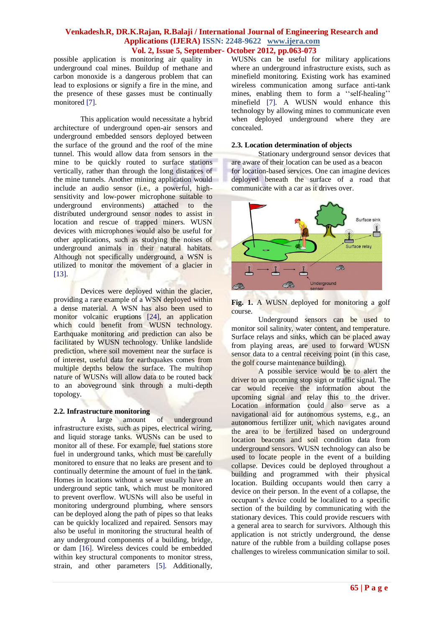possible application is monitoring air quality in underground coal mines. Buildup of methane and carbon monoxide is a dangerous problem that can lead to explosions or signify a fire in the mine, and the presence of these gasses must be continually monitored [7].

This application would necessitate a hybrid architecture of underground open-air sensors and underground embedded sensors deployed between the surface of the ground and the roof of the mine tunnel. This would allow data from sensors in the mine to be quickly routed to surface stations vertically, rather than through the long distances of the mine tunnels. Another mining application would include an audio sensor (i.e., a powerful, highsensitivity and low-power microphone suitable to underground environments) attached to the underground environments) attached to the distributed underground sensor nodes to assist in location and rescue of trapped miners. WUSN devices with microphones would also be useful for other applications, such as studying the noises of underground animals in their natural habitats. Although not specifically underground, a WSN is utilized to monitor the movement of a glacier in [13].

Devices were deployed within the glacier, providing a rare example of a WSN deployed within a dense material. A WSN has also been used to monitor volcanic eruptions [24], an application which could benefit from WUSN technology. Earthquake monitoring and prediction can also be facilitated by WUSN technology. Unlike landslide prediction, where soil movement near the surface is of interest, useful data for earthquakes comes from multiple depths below the surface. The multihop nature of WUSNs will allow data to be routed back to an aboveground sink through a multi-depth topology.

### **2.2. Infrastructure monitoring**

A large amount of underground infrastructure exists, such as pipes, electrical wiring, and liquid storage tanks. WUSNs can be used to monitor all of these. For example, fuel stations store fuel in underground tanks, which must be carefully monitored to ensure that no leaks are present and to continually determine the amount of fuel in the tank. Homes in locations without a sewer usually have an underground septic tank, which must be monitored to prevent overflow. WUSNs will also be useful in monitoring underground plumbing, where sensors can be deployed along the path of pipes so that leaks can be quickly localized and repaired. Sensors may also be useful in monitoring the structural health of any underground components of a building, bridge, or dam [16]. Wireless devices could be embedded within key structural components to monitor stress, strain, and other parameters [5]. Additionally,

WUSNs can be useful for military applications where an underground infrastructure exists, such as minefield monitoring. Existing work has examined wireless communication among surface anti-tank mines, enabling them to form a ''self-healing'' minefield [7]. A WUSN would enhance this technology by allowing mines to communicate even when deployed underground where they are concealed.

#### **2.3. Location determination of objects**

Stationary underground sensor devices that are aware of their location can be used as a beacon for location-based services. One can imagine devices deployed beneath the surface of a road that communicate with a car as it drives over.



**Fig. 1.** A WUSN deployed for monitoring a golf course.

Underground sensors can be used to monitor soil salinity, water content, and temperature. Surface relays and sinks, which can be placed away from playing areas, are used to forward WUSN sensor data to a central receiving point (in this case, the golf course maintenance building).

A possible service would be to alert the driver to an upcoming stop sign or traffic signal. The car would receive the information about the upcoming signal and relay this to the driver. Location information could also serve as a navigational aid for autonomous systems, e.g., an autonomous fertilizer unit, which navigates around the area to be fertilized based on underground location beacons and soil condition data from underground sensors. WUSN technology can also be used to locate people in the event of a building collapse. Devices could be deployed throughout a building and programmed with their physical location. Building occupants would then carry a device on their person. In the event of a collapse, the occupant's device could be localized to a specific section of the building by communicating with the stationary devices. This could provide rescuers with a general area to search for survivors. Although this application is not strictly underground, the dense nature of the rubble from a building collapse poses challenges to wireless communication similar to soil.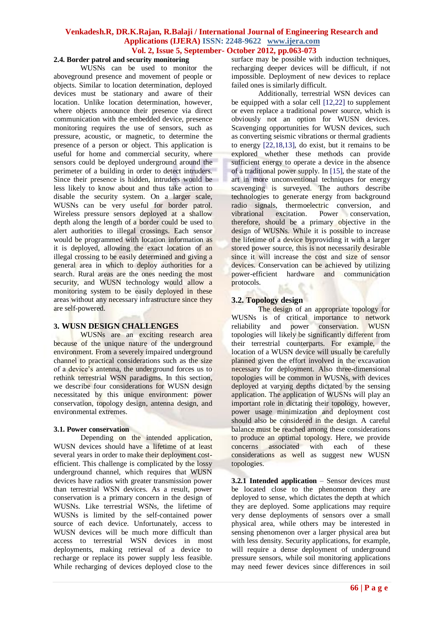### **2.4. Border patrol and security monitoring**

WUSNs can be used to monitor the aboveground presence and movement of people or objects. Similar to location determination, deployed devices must be stationary and aware of their location. Unlike location determination, however, where objects announce their presence via direct communication with the embedded device, presence monitoring requires the use of sensors, such as pressure, acoustic, or magnetic, to determine the presence of a person or object. This application is useful for home and commercial security, where sensors could be deployed underground around the perimeter of a building in order to detect intruders. Since their presence is hidden, intruders would be less likely to know about and thus take action to disable the security system. On a larger scale, WUSNs can be very useful for border patrol. Wireless pressure sensors deployed at a shallow depth along the length of a border could be used to alert authorities to illegal crossings. Each sensor would be programmed with location information as it is deployed, allowing the exact location of an illegal crossing to be easily determined and giving a general area in which to deploy authorities for a search. Rural areas are the ones needing the most security, and WUSN technology would allow a monitoring system to be easily deployed in these areas without any necessary infrastructure since they are self-powered.

### **3. WUSN DESIGN CHALLENGES**

WUSNs are an exciting research area because of the unique nature of the underground environment. From a severely impaired underground channel to practical considerations such as the size of a device's antenna, the underground forces us to rethink terrestrial WSN paradigms. In this section, we describe four considerations for WUSN design necessitated by this unique environment: power conservation, topology design, antenna design, and environmental extremes.

### **3.1. Power conservation**

Depending on the intended application, WUSN devices should have a lifetime of at least several years in order to make their deployment costefficient. This challenge is complicated by the lossy underground channel, which requires that WUSN devices have radios with greater transmission power than terrestrial WSN devices. As a result, power conservation is a primary concern in the design of WUSNs. Like terrestrial WSNs, the lifetime of WUSNs is limited by the self-contained power source of each device. Unfortunately, access to WUSN devices will be much more difficult than access to terrestrial WSN devices in most deployments, making retrieval of a device to recharge or replace its power supply less feasible. While recharging of devices deployed close to the

surface may be possible with induction techniques, recharging deeper devices will be difficult, if not impossible. Deployment of new devices to replace failed ones is similarly difficult.

Additionally, terrestrial WSN devices can be equipped with a solar cell [12,22] to supplement or even replace a traditional power source, which is obviously not an option for WUSN devices. Scavenging opportunities for WUSN devices, such as converting seismic vibrations or thermal gradients to energy [22,18,13], do exist, but it remains to be explored whether these methods can provide sufficient energy to operate a device in the absence of a traditional power supply. In [15], the state of the art in more unconventional techniques for energy scavenging is surveyed. The authors describe technologies to generate energy from background radio signals, thermoelectric conversion, and vibrational excitation. Power conservation, therefore, should be a primary objective in the design of WUSNs. While it is possible to increase the lifetime of a device byproviding it with a larger stored power source, this is not necessarily desirable since it will increase the cost and size of sensor devices. Conservation can be achieved by utilizing power-efficient hardware and communication protocols.

### **3.2. Topology design**

The design of an appropriate topology for WUSNs is of critical importance to network reliability and power conservation. WUSN topologies will likely be significantly different from their terrestrial counterparts. For example, the location of a WUSN device will usually be carefully planned given the effort involved in the excavation necessary for deployment. Also three-dimensional topologies will be common in WUSNs, with devices deployed at varying depths dictated by the sensing application. The application of WUSNs will play an important role in dictating their topology, however, power usage minimization and deployment cost should also be considered in the design. A careful balance must be reached among these considerations to produce an optimal topology. Here, we provide concerns associated with each of these considerations as well as suggest new WUSN topologies.

**3.2.1 Intended application** – Sensor devices must be located close to the phenomenon they are deployed to sense, which dictates the depth at which they are deployed. Some applications may require very dense deployments of sensors over a small physical area, while others may be interested in sensing phenomenon over a larger physical area but with less density. Security applications, for example, will require a dense deployment of underground pressure sensors, while soil monitoring applications may need fewer devices since differences in soil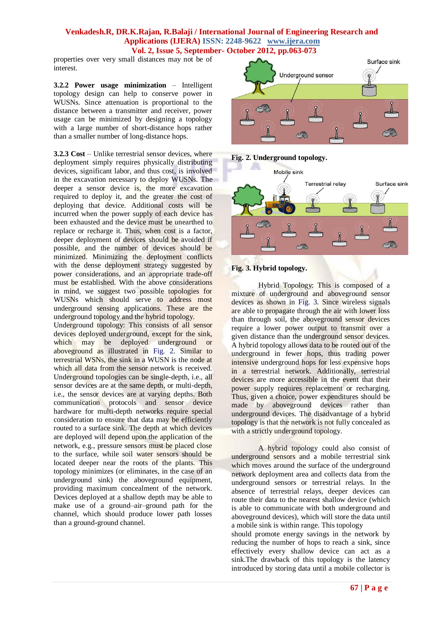properties over very small distances may not be of interest.

**3.2.2 Power usage minimization** – Intelligent topology design can help to conserve power in WUSNs. Since attenuation is proportional to the distance between a transmitter and receiver, power usage can be minimized by designing a topology with a large number of short-distance hops rather than a smaller number of long-distance hops.

**3.2.3 Cost** – Unlike terrestrial sensor devices, where deployment simply requires physically distributing devices, significant labor, and thus cost, is involved in the excavation necessary to deploy WUSNs. The deeper a sensor device is, the more excavation required to deploy it, and the greater the cost of deploying that device. Additional costs will be incurred when the power supply of each device has been exhausted and the device must be unearthed to replace or recharge it. Thus, when cost is a factor, deeper deployment of devices should be avoided if possible, and the number of devices should be minimized. Minimizing the deployment conflicts with the dense deployment strategy suggested by power considerations, and an appropriate trade-off must be established. With the above considerations in mind, we suggest two possible topologies for WUSNs which should serve to address most underground sensing applications. These are the underground topology and the hybrid topology.

Underground topology: This consists of all sensor devices deployed underground, except for the sink, which may be deployed underground or aboveground as illustrated in Fig. 2. Similar to terrestrial WSNs, the sink in a WUSN is the node at which all data from the sensor network is received. Underground topologies can be single-depth, i.e., all sensor devices are at the same depth, or multi-depth, i.e., the sensor devices are at varying depths. Both communication protocols and sensor device hardware for multi-depth networks require special consideration to ensure that data may be efficiently routed to a surface sink. The depth at which devices are deployed will depend upon the application of the network, e.g., pressure sensors must be placed close to the surface, while soil water sensors should be located deeper near the roots of the plants. This topology minimizes (or eliminates, in the case of an underground sink) the aboveground equipment, providing maximum concealment of the network. Devices deployed at a shallow depth may be able to make use of a ground–air–ground path for the channel, which should produce lower path losses than a ground-ground channel.



**Fig. 2. Underground topology.**



### **Fig. 3. Hybrid topology.**

Hybrid Topology: This is composed of a mixture of underground and aboveground sensor devices as shown in Fig. 3. Since wireless signals are able to propagate through the air with lower loss than through soil, the aboveground sensor devices require a lower power output to transmit over a given distance than the underground sensor devices. A hybrid topology allows data to be routed out of the underground in fewer hops, thus trading power intensive underground hops for less expensive hops in a terrestrial network. Additionally, terrestrial devices are more accessible in the event that their power supply requires replacement or recharging. Thus, given a choice, power expenditures should be made by aboveground devices rather than underground devices. The disadvantage of a hybrid topology is that the network is not fully concealed as with a strictly underground topology.

A hybrid topology could also consist of underground sensors and a mobile terrestrial sink which moves around the surface of the underground network deployment area and collects data from the underground sensors or terrestrial relays. In the absence of terrestrial relays, deeper devices can route their data to the nearest shallow device (which is able to communicate with both underground and aboveground devices), which will store the data until a mobile sink is within range. This topology

should promote energy savings in the network by reducing the number of hops to reach a sink, since effectively every shallow device can act as a sink.The drawback of this topology is the latency introduced by storing data until a mobile collector is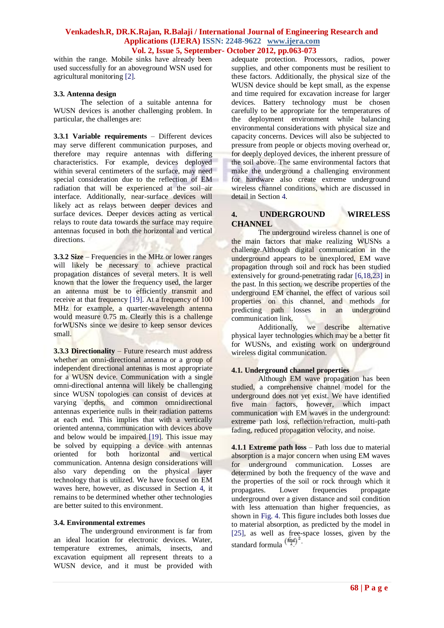within the range. Mobile sinks have already been used successfully for an aboveground WSN used for agricultural monitoring [2].

### **3.3. Antenna design**

The selection of a suitable antenna for WUSN devices is another challenging problem. In particular, the challenges are:

**3.3.1 Variable requirements** – Different devices may serve different communication purposes, and therefore may require antennas with differing characteristics. For example, devices deployed within several centimeters of the surface, may need special consideration due to the reflection of EM radiation that will be experienced at the soil–air interface. Additionally, near-surface devices will likely act as relays between deeper devices and surface devices. Deeper devices acting as vertical relays to route data towards the surface may require antennas focused in both the horizontal and vertical directions.

**3.3.2 Size** – Frequencies in the MHz or lower ranges will likely be necessary to achieve practical propagation distances of several meters. It is well known that the lower the frequency used, the larger an antenna must be to efficiently transmit and receive at that frequency [19]. At a frequency of 100 MHz for example, a quarter-wavelength antenna would measure 0.75 m. Clearly this is a challenge forWUSNs since we desire to keep sensor devices small.

**3.3.3 Directionality** – Future research must address whether an omni-directional antenna or a group of independent directional antennas is most appropriate for a WUSN device. Communication with a single omni-directional antenna will likely be challenging since WUSN topologies can consist of devices at varying depths, and common omnidirectional antennas experience nulls in their radiation patterns at each end. This implies that with a vertically oriented antenna, communication with devices above and below would be impaired [19]. This issue may be solved by equipping a device with antennas oriented for both horizontal and vertical communication. Antenna design considerations will also vary depending on the physical layer technology that is utilized. We have focused on EM waves here, however, as discussed in Section 4, it remains to be determined whether other technologies are better suited to this environment.

### **3.4. Environmental extremes**

The underground environment is far from an ideal location for electronic devices. Water, temperature extremes, animals, insects, and excavation equipment all represent threats to a WUSN device, and it must be provided with

adequate protection. Processors, radios, power supplies, and other components must be resilient to these factors. Additionally, the physical size of the WUSN device should be kept small, as the expense and time required for excavation increase for larger devices. Battery technology must be chosen carefully to be appropriate for the temperatures of the deployment environment while balancing environmental considerations with physical size and capacity concerns. Devices will also be subjected to pressure from people or objects moving overhead or, for deeply deployed devices, the inherent pressure of the soil above. The same environmental factors that make the underground a challenging environment for hardware also create extreme underground wireless channel conditions, which are discussed in detail in Section 4.

### **4. UNDERGROUND WIRELESS CHANNEL**

The underground wireless channel is one of the main factors that make realizing WUSNs a challenge.Although digital communication in the underground appears to be unexplored, EM wave propagation through soil and rock has been studied extensively for ground-penetrating radar [6,18,23] in the past. In this section, we describe properties of the underground EM channel, the effect of various soil properties on this channel, and methods for predicting path losses in an underground communication link.<br>Additionally,

we describe alternative physical layer technologies which may be a better fit for WUSNs, and existing work on underground wireless digital communication.

### **4.1. Underground channel properties**

Although EM wave propagation has been studied, a comprehensive channel model for the underground does not yet exist. We have identified five main factors, however, which impact communication with EM waves in the underground: extreme path loss, reflection/refraction, multi-path fading, reduced propagation velocity, and noise.

**4.1.1 Extreme path loss** – Path loss due to material absorption is a major concern when using EM waves for underground communication. Losses are determined by both the frequency of the wave and the properties of the soil or rock through which it propagates. Lower frequencies propagate underground over a given distance and soil condition with less attenuation than higher frequencies, as shown in Fig. 4. This figure includes both losses due to material absorption, as predicted by the model in [25], as well as free-space losses, given by the standard formula  $\frac{4\pi d}{\lambda}$ <sup>2</sup>.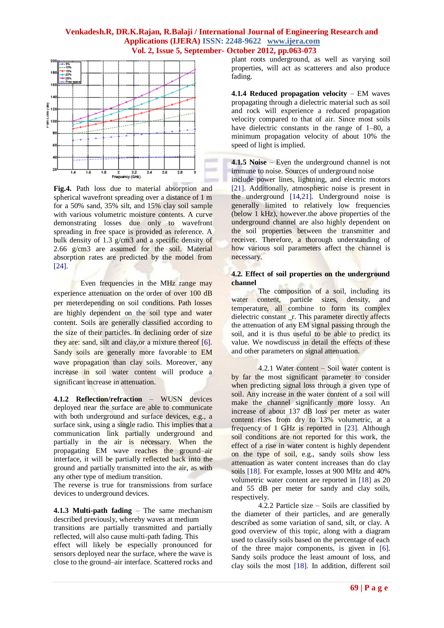

**Fig.4.** Path loss due to material absorption and spherical wavefront spreading over a distance of 1 m for a 50% sand, 35% silt, and 15% clay soil sample with various volumetric moisture contents. A curve demonstrating losses due only to wavefront spreading in free space is provided as reference. A bulk density of 1.3 g/cm3 and a specific density of 2.66 g/cm3 are assumed for the soil. Material absorption rates are predicted by the model from [24].

Even frequencies in the MHz range may experience attenuation on the order of over 100 dB per meterdepending on soil conditions. Path losses are highly dependent on the soil type and water content. Soils are generally classified according to the size of their particles. In declining order of size they are: sand, silt and clay,or a mixture thereof [6]. Sandy soils are generally more favorable to EM wave propagation than clay soils. Moreover, any increase in soil water content will produce a significant increase in attenuation.

**4.1.2 Reflection/refraction** – WUSN devices deployed near the surface are able to communicate with both underground and surface devices, e.g., a surface sink, using a single radio. This implies that a communication link partially underground and partially in the air is necessary. When the propagating EM wave reaches the ground–air interface, it will be partially reflected back into the ground and partially transmitted into the air, as with any other type of medium transition.

The reverse is true for transmissions from surface devices to underground devices.

**4.1.3 Multi-path fading** – The same mechanism described previously, whereby waves at medium transitions are partially transmitted and partially reflected, will also cause multi-path fading. This effect will likely be especially pronounced for sensors deployed near the surface, where the wave is close to the ground–air interface. Scattered rocks and plant roots underground, as well as varying soil properties, will act as scatterers and also produce fading.

**4.1.4 Reduced propagation velocity** – EM waves propagating through a dielectric material such as soil and rock will experience a reduced propagation velocity compared to that of air. Since most soils have dielectric constants in the range of 1–80, a minimum propagation velocity of about 10% the speed of light is implied.

**4.1.5 Noise** – Even the underground channel is not immune to noise. Sources of underground noise

include power lines, lightning, and electric motors [21]. Additionally, atmospheric noise is present in the underground [14,21]. Underground noise is generally limited to relatively low frequencies (below 1 kHz), however.the above properties of the underground channel are also highly dependent on the soil properties between the transmitter and receiver. Therefore, a thorough understanding of how various soil parameters affect the channel is necessary.

#### **4.2. Effect of soil properties on the underground channel**

The composition of a soil, including its water content, particle sizes, density, and temperature, all combine to form its complex dielectric constant r. This parameter directly affects the attenuation of any EM signal passing through the soil, and it is thus useful to be able to predict its value. We nowdiscuss in detail the effects of these and other parameters on signal attenuation.

4.2.1 Water content – Soil water content is by far the most significant parameter to consider when predicting signal loss through a given type of soil. Any increase in the water content of a soil will make the channel significantly more lossy. An increase of about 137 dB loss per meter as water content rises from dry to 13% volumetric, at a frequency of 1 GHz is reported in [23]. Although soil conditions are not reported for this work, the effect of a rise in water content is highly dependent on the type of soil, e.g., sandy soils show less attenuation as water content increases than do clay soils [18]. For example, losses at 900 MHz and 40% volumetric water content are reported in [18] as 20 and 55 dB per meter for sandy and clay soils, respectively.

4.2.2 Particle size – Soils are classified by the diameter of their particles, and are generally described as some variation of sand, silt, or clay. A good overview of this topic, along with a diagram used to classify soils based on the percentage of each of the three major components, is given in [6]. Sandy soils produce the least amount of loss, and clay soils the most [18]. In addition, different soil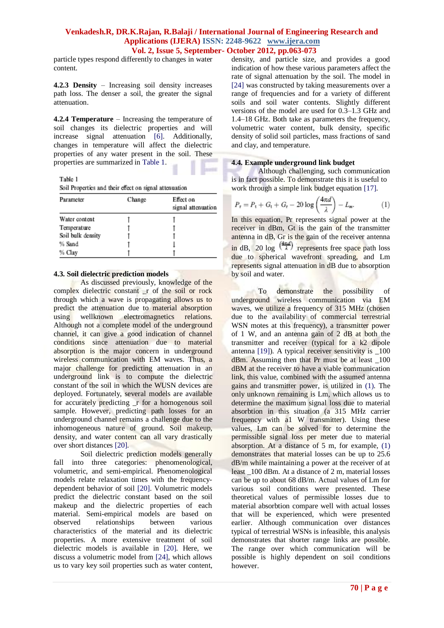particle types respond differently to changes in water content.

**4.2.3 Density** – Increasing soil density increases path loss. The denser a soil, the greater the signal attenuation.

**4.2.4 Temperature** – Increasing the temperature of soil changes its dielectric properties and will increase signal attenuation [6]. Additionally, changes in temperature will affect the dielectric properties of any water present in the soil. These properties are summarized in Table 1.

Table 1

Soil Properties and their effect on signal attenuation

| Parameter         | Change | Effect on<br>signal attenuation |
|-------------------|--------|---------------------------------|
| Water content     |        |                                 |
| Temperature       |        |                                 |
| Soil bulk density |        |                                 |
| % Sand            |        |                                 |
| % Clay            |        |                                 |

#### **4.3. Soil dielectric prediction models**

As discussed previously, knowledge of the complex dielectric constant \_r of the soil or rock through which a wave is propagating allows us to predict the attenuation due to material absorption using wellknown electromagnetics relations. Although not a complete model of the underground channel, it can give a good indication of channel conditions since attenuation due to material absorption is the major concern in underground wireless communication with EM waves. Thus, a major challenge for predicting attenuation in an underground link is to compute the dielectric constant of the soil in which the WUSN devices are deployed. Fortunately, several models are available for accurately predicting \_r for a homogenous soil sample. However, predicting path losses for an underground channel remains a challenge due to the inhomogeneous nature of ground. Soil makeup, density, and water content can all vary drastically over short distances [20].

Soil dielectric prediction models generally fall into three categories: phenomenological, volumetric, and semi-empirical. Phenomenological models relate relaxation times with the frequencydependent behavior of soil [20]. Volumetric models predict the dielectric constant based on the soil makeup and the dielectric properties of each material. Semi-empirical models are based on observed relationships between various characteristics of the material and its dielectric properties. A more extensive treatment of soil dielectric models is available in [20]. Here, we discuss a volumetric model from [24], which allows us to vary key soil properties such as water content,

density, and particle size, and provides a good indication of how these various parameters affect the rate of signal attenuation by the soil. The model in [24] was constructed by taking measurements over a range of frequencies and for a variety of different soils and soil water contents. Slightly different versions of the model are used for 0.3–1.3 GHz and 1.4–18 GHz. Both take as parameters the frequency, volumetric water content, bulk density, specific density of solid soil particles, mass fractions of sand and clay, and temperature.

#### **4.4. Example underground link budget**

Although challenging, such communication is in fact possible. To demonstrate this it is useful to work through a simple link budget equation [17].

$$
P_{\rm r} = P_{\rm t} + G_{\rm t} + G_{\rm r} - 20 \log \left( \frac{4\pi d}{\lambda} \right) - L_{\rm m}.
$$
 (1)

In this equation, Pr represents signal power at the receiver in dBm, Gt is the gain of the transmitter antenna in dB, Gr is the gain of the receiver antenna in dB, 20 log  $\left(\frac{4\pi d}{\lambda}\right)$  represents free space path loss due to spherical wavefront spreading, and Lm represents signal attenuation in dB due to absorption by soil and water.

To demonstrate the possibility of underground wireless communication via EM waves, we utilize a frequency of 315 MHz (chosen due to the availability of commercial terrestrial WSN motes at this frequency), a transmitter power of 1 W, and an antenna gain of 2 dB at both the transmitter and receiver (typical for a k2 dipole antenna [19]). A typical receiver sensitivity is \_100 dBm. Assuming then that Pr must be at least 100 dBM at the receiver to have a viable communication link, this value, combined with the assumed antenna gains and transmitter power, is utilized in (1). The only unknown remaining is Lm, which allows us to determine the maximum signal loss due to material absorbtion in this situation (a 315 MHz carrier frequency with a1 W transmitter). Using these values, Lm can be solved for to determine the permissible signal loss per meter due to material absorption. At a distance of  $5 \text{ m}$ , for example, (1) demonstrates that material losses can be up to 25.6 dB/m while maintaining a power at the receiver of at least 100 dBm. At a distance of 2 m, material losses can be up to about 68 dB/m. Actual values of Lm for various soil conditions were presented. These theoretical values of permissible losses due to material absorbtion compare well with actual losses that will be experienced, which were presented earlier. Although communication over distances typical of terrestrial WSNs is infeasible, this analysis demonstrates that shorter range links are possible. The range over which communication will be possible is highly dependent on soil conditions however.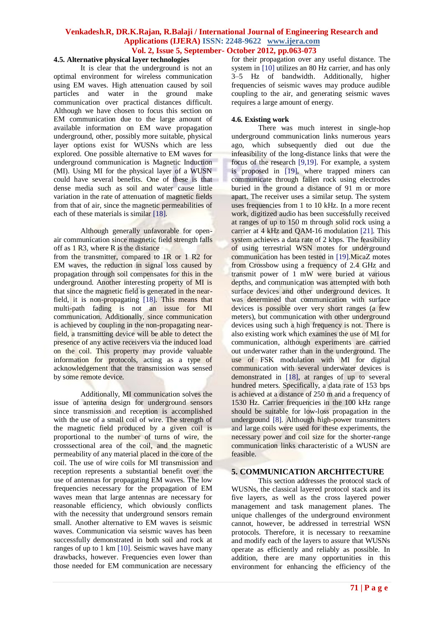# **4.5. Alternative physical layer technologies**

It is clear that the underground is not an optimal environment for wireless communication using EM waves. High attenuation caused by soil particles and water in the ground make communication over practical distances difficult. Although we have chosen to focus this section on EM communication due to the large amount of available information on EM wave propagation underground, other, possibly more suitable, physical layer options exist for WUSNs which are less explored. One possible alternative to EM waves for underground communication is Magnetic Induction (MI). Using MI for the physical layer of a WUSN could have several benefits. One of these is that dense media such as soil and water cause little variation in the rate of attenuation of magnetic fields from that of air, since the magnetic permeabilities of each of these materials is similar [18].

Although generally unfavorable for openair communication since magnetic field strength falls off as 1 R3, where R is the distance

from the transmitter, compared to 1R or 1 R2 for EM waves, the reduction in signal loss caused by propagation through soil compensates for this in the underground. Another interesting property of MI is that since the magnetic field is generated in the nearfield, it is non-propagating [18]. This means that multi-path fading is not an issue for MI communication. Additionally, since communication is achieved by coupling in the non-propagating nearfield, a transmitting device will be able to detect the presence of any active receivers via the induced load on the coil. This property may provide valuable information for protocols, acting as a type of acknowledgement that the transmission was sensed by some remote device.

Additionally, MI communication solves the issue of antenna design for underground sensors since transmission and reception is accomplished with the use of a small coil of wire. The strength of the magnetic field produced by a given coil is proportional to the number of turns of wire, the crosssectional area of the coil, and the magnetic permeability of any material placed in the core of the coil. The use of wire coils for MI transmission and reception represents a substantial benefit over the use of antennas for propagating EM waves. The low frequencies necessary for the propagation of EM waves mean that large antennas are necessary for reasonable efficiency, which obviously conflicts with the necessity that underground sensors remain small. Another alternative to EM waves is seismic waves. Communication via seismic waves has been successfully demonstrated in both soil and rock at ranges of up to 1 km [10]. Seismic waves have many drawbacks, however. Frequencies even lower than those needed for EM communication are necessary

for their propagation over any useful distance. The system in [10] utilizes an 80 Hz carrier, and has only 3–5 Hz of bandwidth. Additionally, higher frequencies of seismic waves may produce audible coupling to the air, and generating seismic waves requires a large amount of energy.

### **4.6. Existing work**

There was much interest in single-hop underground communication links numerous years ago, which subsequently died out due the infeasibility of the long-distance links that were the focus of the research [9,19]. For example, a system is proposed in [19], where trapped miners can communicate through fallen rock using electrodes buried in the ground a distance of 91 m or more apart. The receiver uses a similar setup. The system uses frequencies from 1 to 10 kHz. In a more recent work, digitized audio has been successfully received at ranges of up to 150 m through solid rock using a carrier at 4 kHz and QAM-16 modulation [21]. This system achieves a data rate of 2 kbps. The feasibility of using terrestrial WSN motes for underground communication has been tested in [19].MicaZ motes from Crossbow using a frequency of 2.4 GHz and transmit power of 1 mW were buried at various depths, and communication was attempted with both surface devices and other underground devices. It was determined that communication with surface devices is possible over very short ranges (a few meters), but communication with other underground devices using such a high frequency is not. There is also existing work which examines the use of MI for communication, although experiments are carried out underwater rather than in the underground. The use of FSK modulation with MI for digital communication with several underwater devices is demonstrated in [18], at ranges of up to several hundred meters. Specifically, a data rate of 153 bps is achieved at a distance of 250 m and a frequency of 1530 Hz. Carrier frequencies in the 100 kHz range should be suitable for low-loss propagation in the underground [8]. Although high-power transmitters and large coils were used for these experiments, the necessary power and coil size for the shorter-range communication links characteristic of a WUSN are feasible.

### **5. COMMUNICATION ARCHITECTURE**

This section addresses the protocol stack of WUSNs, the classical layered protocol stack and its five layers, as well as the cross layered power management and task management planes. The unique challenges of the underground environment cannot, however, be addressed in terrestrial WSN protocols. Therefore, it is necessary to reexamine and modify each of the layers to assure that WUSNs operate as efficiently and reliably as possible. In addition, there are many opportunities in this environment for enhancing the efficiency of the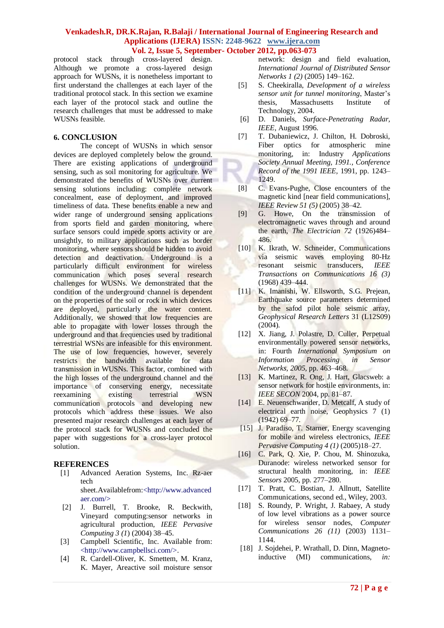protocol stack through cross-layered design. Although we promote a cross-layered design approach for WUSNs, it is nonetheless important to first understand the challenges at each layer of the traditional protocol stack. In this section we examine each layer of the protocol stack and outline the research challenges that must be addressed to make WUSNs feasible.

### **6. CONCLUSION**

The concept of WUSNs in which sensor devices are deployed completely below the ground. There are existing applications of underground sensing, such as soil monitoring for agriculture. We demonstrated the benefits of WUSNs over current sensing solutions including: complete network concealment, ease of deployment, and improved timeliness of data. These benefits enable a new and wider range of underground sensing applications from sports field and garden monitoring, where surface sensors could impede sports activity or are unsightly, to military applications such as border monitoring, where sensors should be hidden to avoid detection and deactivation. Underground is a particularly difficult environment for wireless communication which poses several research challenges for WUSNs. We demonstrated that the condition of the underground channel is dependent on the properties of the soil or rock in which devices are deployed, particularly the water content. Additionally, we showed that low frequencies are able to propagate with lower losses through the underground and that frequencies used by traditional terrestrial WSNs are infeasible for this environment. The use of low frequencies, however, severely restricts the bandwidth available for data transmission in WUSNs. This factor, combined with the high losses of the underground channel and the importance of conserving energy, necessitate reexamining existing terrestrial WSN communication protocols and developing new protocols which address these issues. We also presented major research challenges at each layer of the protocol stack for WUSNs and concluded the paper with suggestions for a cross-layer protocol solution.

### **REFERENCES**

- [1] Advanced Aeration Systems, Inc. Rz-aer tech sheet.Availablefrom:<http://www.advanced aer.com/>
- [2] J. Burrell, T. Brooke, R. Beckwith, Vineyard computing:sensor networks in agricultural production, *IEEE Pervasive Computing 3 (1*) (2004) 38–45.
- [3] Campbell Scientific, Inc. Available from: <http://www.campbellsci.com/>.
- [4] R. Cardell-Oliver, K. Smettem, M. Kranz, K. Mayer, Areactive soil moisture sensor

network: design and field evaluation, *International Journal of Distributed Sensor Networks 1 (2)* (2005) 149–162.

- [5] S. Cheekiralla, *Development of a wireless sensor unit for tunnel monitoring*, Master's thesis, Massachusetts Institute of Technology, 2004.
- [6] D. Daniels, *Surface-Penetrating Radar, IEEE*, August 1996.
- [7] T. Dubaniewicz, J. Chilton, H. Dobroski, Fiber optics for atmospheric mine monitoring, in: Industry *Applications Society Annual Meeting, 1991., Conference Record of the 1991 IEEE,* 1991, pp. 1243– 1249.
- [8] C. Evans-Pughe, Close encounters of the magnetic kind [near field communications], *IEEE Review 51 (5)* (2005) 38–42.
- [9] G. Howe, On the transmission of electromagnetic waves through and around the earth, *The Electrician 72* (1926)484– 486.
- [10] K. Ikrath, W. Schneider, Communications via seismic waves employing 80-Hz resonant seismic transducers, *IEEE Transactions on Communications 16 (3)*  (1968) 439–444.
- [11] K. Imanishi, W. Ellsworth, S.G. Prejean, Earthquake source parameters determined by the safod pilot hole seismic array, *Geophysical Research Letters* 31 (L12S09)  $(2004)$ .
- [12] X. Jiang, J. Polastre, D. Culler, Perpetual environmentally powered sensor networks, in: Fourth *International Symposium on Information Processing in Sensor Networks, 2005,* pp. 463–468.
- [13] K. Martinez, R. Ong, J. Hart, Glacsweb: a sensor network for hostile environments, in: *IEEE SECON* 2004, pp. 81–87.
- [14] E. Neuenschwander, D. Metcalf, A study of electrical earth noise, Geophysics 7 (1) (1942) 69–77.
- [15] J. Paradiso, T. Starner, Energy scavenging for mobile and wireless electronics, *IEEE Pervasive Computing 4 (1)* (2005)18–27.
- [16] C. Park, Q. Xie, P. Chou, M. Shinozuka, Duranode: wireless networked sensor for structural health monitoring, in: *IEEE Sensors* 2005, pp. 277–280.
- [17] T. Pratt, C. Bostian, J. Allnutt, Satellite Communications, second ed., Wiley, 2003.
- [18] S. Roundy, P. Wright, J. Rabaey, A study of low level vibrations as a power source for wireless sensor nodes, *Computer Communications 26 (11)* (2003) 1131– 1144.
- [18] J. Sojdehei, P. Wrathall, D. Dinn, Magnetoinductive (MI) communications, *in:*